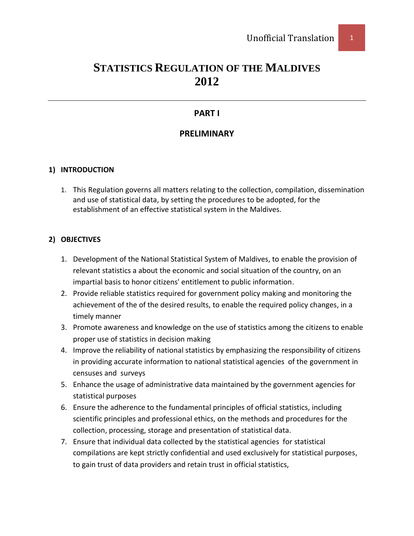# **STATISTICS REGULATION OF THE MALDIVES 2012**

# **PART I**

# **PRELIMINARY**

# **1) INTRODUCTION**

1. This Regulation governs all matters relating to the collection, compilation, dissemination and use of statistical data, by setting the procedures to be adopted, for the establishment of an effective statistical system in the Maldives.

## **2) OBJECTIVES**

- 1. Development of the National Statistical System of Maldives, to enable the provision of relevant statistics a about the economic and social situation of the country, on an impartial basis to honor citizens' entitlement to public information.
- 2. Provide reliable statistics required for government policy making and monitoring the achievement of the of the desired results, to enable the required policy changes, in a timely manner
- 3. Promote awareness and knowledge on the use of statistics among the citizens to enable proper use of statistics in decision making
- 4. Improve the reliability of national statistics by emphasizing the responsibility of citizens in providing accurate information to national statistical agencies of the government in censuses and surveys
- 5. Enhance the usage of administrative data maintained by the government agencies for statistical purposes
- 6. Ensure the adherence to the fundamental principles of official statistics, including scientific principles and professional ethics, on the methods and procedures for the collection, processing, storage and presentation of statistical data.
- 7. Ensure that individual data collected by the statistical agencies for statistical compilations are kept strictly confidential and used exclusively for statistical purposes, to gain trust of data providers and retain trust in official statistics,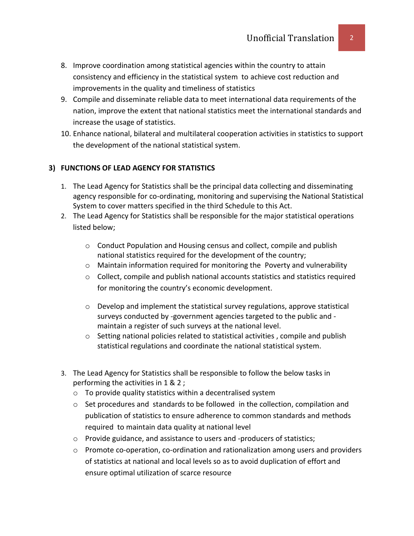- 8. Improve coordination among statistical agencies within the country to attain consistency and efficiency in the statistical system to achieve cost reduction and improvements in the quality and timeliness of statistics
- 9. Compile and disseminate reliable data to meet international data requirements of the nation, improve the extent that national statistics meet the international standards and increase the usage of statistics.
- 10. Enhance national, bilateral and multilateral cooperation activities in statistics to support the development of the national statistical system.

# **3) FUNCTIONS OF LEAD AGENCY FOR STATISTICS**

- 1. The Lead Agency for Statistics shall be the principal data collecting and disseminating agency responsible for co-ordinating, monitoring and supervising the National Statistical System to cover matters specified in the third Schedule to this Act.
- 2. The Lead Agency for Statistics shall be responsible for the major statistical operations listed below;
	- o Conduct Population and Housing census and collect, compile and publish national statistics required for the development of the country;
	- $\circ$  Maintain information required for monitoring the Poverty and vulnerability
	- $\circ$  Collect, compile and publish national accounts statistics and statistics required for monitoring the country's economic development.
	- $\circ$  Develop and implement the statistical survey regulations, approve statistical surveys conducted by -government agencies targeted to the public and maintain a register of such surveys at the national level.
	- o Setting national policies related to statistical activities , compile and publish statistical regulations and coordinate the national statistical system.
- 3. The Lead Agency for Statistics shall be responsible to follow the below tasks in performing the activities in 1 & 2 ;
	- o To provide quality statistics within a decentralised system
	- $\circ$  Set procedures and standards to be followed in the collection, compilation and publication of statistics to ensure adherence to common standards and methods required to maintain data quality at national level
	- o Provide guidance, and assistance to users and -producers of statistics;
	- $\circ$  Promote co-operation, co-ordination and rationalization among users and providers of statistics at national and local levels so as to avoid duplication of effort and ensure optimal utilization of scarce resource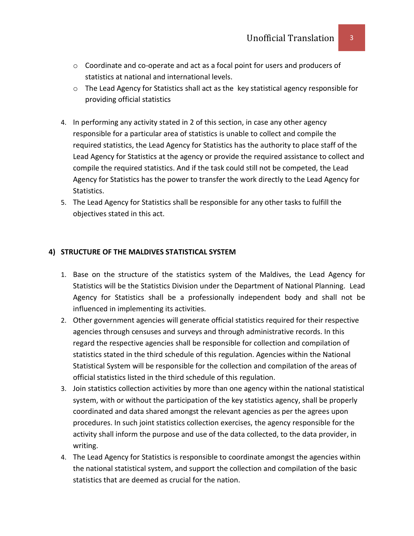- $\circ$  Coordinate and co-operate and act as a focal point for users and producers of statistics at national and international levels.
- o The Lead Agency for Statistics shall act as the key statistical agency responsible for providing official statistics
- 4. In performing any activity stated in 2 of this section, in case any other agency responsible for a particular area of statistics is unable to collect and compile the required statistics, the Lead Agency for Statistics has the authority to place staff of the Lead Agency for Statistics at the agency or provide the required assistance to collect and compile the required statistics. And if the task could still not be competed, the Lead Agency for Statistics has the power to transfer the work directly to the Lead Agency for Statistics.
- 5. The Lead Agency for Statistics shall be responsible for any other tasks to fulfill the objectives stated in this act.

## **4) STRUCTURE OF THE MALDIVES STATISTICAL SYSTEM**

- 1. Base on the structure of the statistics system of the Maldives, the Lead Agency for Statistics will be the Statistics Division under the Department of National Planning. Lead Agency for Statistics shall be a professionally independent body and shall not be influenced in implementing its activities.
- 2. Other government agencies will generate official statistics required for their respective agencies through censuses and surveys and through administrative records. In this regard the respective agencies shall be responsible for collection and compilation of statistics stated in the third schedule of this regulation. Agencies within the National Statistical System will be responsible for the collection and compilation of the areas of official statistics listed in the third schedule of this regulation.
- 3. Join statistics collection activities by more than one agency within the national statistical system, with or without the participation of the key statistics agency, shall be properly coordinated and data shared amongst the relevant agencies as per the agrees upon procedures. In such joint statistics collection exercises, the agency responsible for the activity shall inform the purpose and use of the data collected, to the data provider, in writing.
- 4. The Lead Agency for Statistics is responsible to coordinate amongst the agencies within the national statistical system, and support the collection and compilation of the basic statistics that are deemed as crucial for the nation.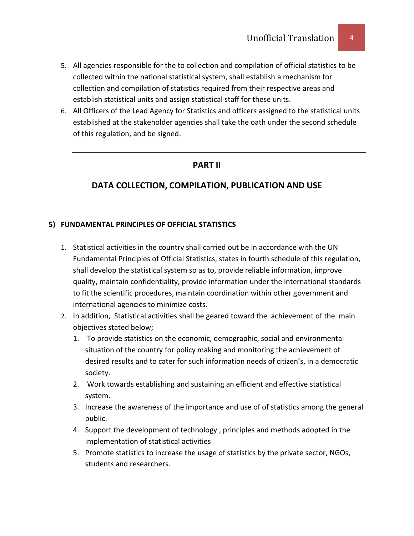- 5. All agencies responsible for the to collection and compilation of official statistics to be collected within the national statistical system, shall establish a mechanism for collection and compilation of statistics required from their respective areas and establish statistical units and assign statistical staff for these units.
- 6. All Officers of the Lead Agency for Statistics and officers assigned to the statistical units established at the stakeholder agencies shall take the oath under the second schedule of this regulation, and be signed.

# **PART II**

# **DATA COLLECTION, COMPILATION, PUBLICATION AND USE**

## **5) FUNDAMENTAL PRINCIPLES OF OFFICIAL STATISTICS**

- 1. Statistical activities in the country shall carried out be in accordance with the UN Fundamental Principles of Official Statistics, states in fourth schedule of this regulation, shall develop the statistical system so as to, provide reliable information, improve quality, maintain confidentiality, provide information under the international standards to fit the scientific procedures, maintain coordination within other government and international agencies to minimize costs.
- 2. In addition, Statistical activities shall be geared toward the achievement of the main objectives stated below;
	- 1. To provide statistics on the economic, demographic, social and environmental situation of the country for policy making and monitoring the achievement of desired results and to cater for such information needs of citizen's, in a democratic society.
	- 2. Work towards establishing and sustaining an efficient and effective statistical system.
	- 3. Increase the awareness of the importance and use of of statistics among the general public.
	- 4. Support the development of technology , principles and methods adopted in the implementation of statistical activities
	- 5. Promote statistics to increase the usage of statistics by the private sector, NGOs, students and researchers.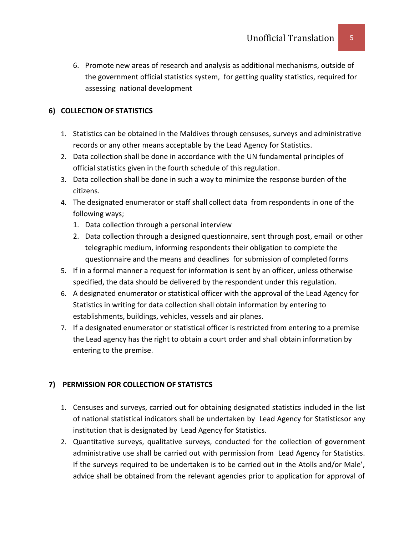6. Promote new areas of research and analysis as additional mechanisms, outside of the government official statistics system, for getting quality statistics, required for assessing national development

# **6) COLLECTION OF STATISTICS**

- 1. Statistics can be obtained in the Maldives through censuses, surveys and administrative records or any other means acceptable by the Lead Agency for Statistics.
- 2. Data collection shall be done in accordance with the UN fundamental principles of official statistics given in the fourth schedule of this regulation.
- 3. Data collection shall be done in such a way to minimize the response burden of the citizens.
- 4. The designated enumerator or staff shall collect data from respondents in one of the following ways;
	- 1. Data collection through a personal interview
	- 2. Data collection through a designed questionnaire, sent through post, email or other telegraphic medium, informing respondents their obligation to complete the questionnaire and the means and deadlines for submission of completed forms
- 5. If in a formal manner a request for information is sent by an officer, unless otherwise specified, the data should be delivered by the respondent under this regulation.
- 6. A designated enumerator or statistical officer with the approval of the Lead Agency for Statistics in writing for data collection shall obtain information by entering to establishments, buildings, vehicles, vessels and air planes.
- 7. If a designated enumerator or statistical officer is restricted from entering to a premise the Lead agency has the right to obtain a court order and shall obtain information by entering to the premise.

# **7) PERMISSION FOR COLLECTION OF STATISTCS**

- 1. Censuses and surveys, carried out for obtaining designated statistics included in the list of national statistical indicators shall be undertaken by Lead Agency for Statisticsor any institution that is designated by Lead Agency for Statistics.
- 2. Quantitative surveys, qualitative surveys, conducted for the collection of government administrative use shall be carried out with permission from Lead Agency for Statistics. If the surveys required to be undertaken is to be carried out in the Atolls and/or Male', advice shall be obtained from the relevant agencies prior to application for approval of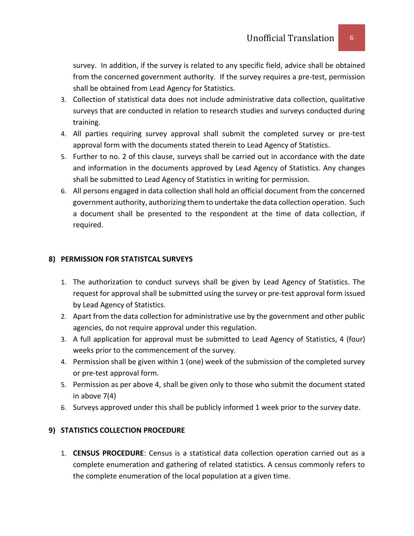survey. In addition, if the survey is related to any specific field, advice shall be obtained from the concerned government authority. If the survey requires a pre-test, permission shall be obtained from Lead Agency for Statistics.

- 3. Collection of statistical data does not include administrative data collection, qualitative surveys that are conducted in relation to research studies and surveys conducted during training.
- 4. All parties requiring survey approval shall submit the completed survey or pre-test approval form with the documents stated therein to Lead Agency of Statistics.
- 5. Further to no. 2 of this clause, surveys shall be carried out in accordance with the date and information in the documents approved by Lead Agency of Statistics. Any changes shall be submitted to Lead Agency of Statistics in writing for permission.
- 6. All persons engaged in data collection shall hold an official document from the concerned government authority, authorizing them to undertake the data collection operation. Such a document shall be presented to the respondent at the time of data collection, if required.

# **8) PERMISSION FOR STATISTCAL SURVEYS**

- 1. The authorization to conduct surveys shall be given by Lead Agency of Statistics. The request for approval shall be submitted using the survey or pre-test approval form issued by Lead Agency of Statistics.
- 2. Apart from the data collection for administrative use by the government and other public agencies, do not require approval under this regulation.
- 3. A full application for approval must be submitted to Lead Agency of Statistics, 4 (four) weeks prior to the commencement of the survey.
- 4. Permission shall be given within 1 (one) week of the submission of the completed survey or pre-test approval form.
- 5. Permission as per above 4, shall be given only to those who submit the document stated in above 7(4)
- 6. Surveys approved under this shall be publicly informed 1 week prior to the survey date.

# **9) STATISTICS COLLECTION PROCEDURE**

1. **CENSUS PROCEDURE**: Census is a statistical data collection operation carried out as a complete enumeration and gathering of related statistics. A census commonly refers to the complete enumeration of the local population at a given time.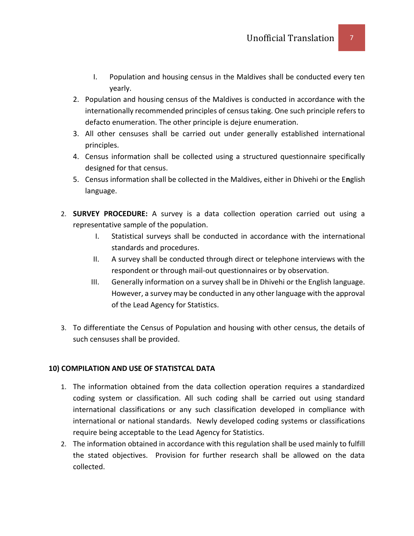- I. Population and housing census in the Maldives shall be conducted every ten yearly.
- 2. Population and housing census of the Maldives is conducted in accordance with the internationally recommended principles of census taking. One such principle refers to defacto enumeration. The other principle is dejure enumeration.
- 3. All other censuses shall be carried out under generally established international principles.
- 4. Census information shall be collected using a structured questionnaire specifically designed for that census.
- 5. Census information shall be collected in the Maldives, either in Dhivehi or the E**n**glish language.
- 2. **SURVEY PROCEDURE:** A survey is a data collection operation carried out using a representative sample of the population.
	- I. Statistical surveys shall be conducted in accordance with the international standards and procedures.
	- II. A survey shall be conducted through direct or telephone interviews with the respondent or through mail-out questionnaires or by observation.
	- III. Generally information on a survey shall be in Dhivehi or the English language. However, a survey may be conducted in any other language with the approval of the Lead Agency for Statistics.
- 3. To differentiate the Census of Population and housing with other census, the details of such censuses shall be provided.

## **10) COMPILATION AND USE OF STATISTCAL DATA**

- 1. The information obtained from the data collection operation requires a standardized coding system or classification. All such coding shall be carried out using standard international classifications or any such classification developed in compliance with international or national standards. Newly developed coding systems or classifications require being acceptable to the Lead Agency for Statistics.
- 2. The information obtained in accordance with this regulation shall be used mainly to fulfill the stated objectives. Provision for further research shall be allowed on the data collected.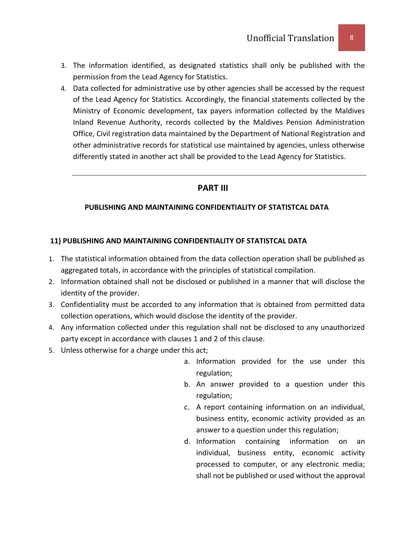- 3. The information identified, as designated statistics shall only be published with the permission from the Lead Agency for Statistics.
- 4. Data collected for administrative use by other agencies shall be accessed by the request of the Lead Agency for Statistics. Accordingly, the financial statements collected by the Ministry of Economic development, tax payers information collected by the Maldives Inland Revenue Authority, records collected by the Maldives Pension Administration Office, Civil registration data maintained by the Department of National Registration and other administrative records for statistical use maintained by agencies, unless otherwise differently stated in another act shall be provided to the Lead Agency for Statistics.

## **PART III**

## **PUBLISHING AND MAINTAINING CONFIDENTIALITY OF STATISTCAL DATA**

## **11) PUBLISHING AND MAINTAINING CONFIDENTIALITY OF STATISTCAL DATA**

- 1. The statistical information obtained from the data collection operation shall be published as aggregated totals, in accordance with the principles of statistical compilation.
- 2. Information obtained shall not be disclosed or published in a manner that will disclose the identity of the provider.
- 3. Confidentiality must be accorded to any information that is obtained from permitted data collection operations, which would disclose the identity of the provider.
- 4. Any information collected under this regulation shall not be disclosed to any unauthorized party except in accordance with clauses 1 and 2 of this clause.
- 5. Unless otherwise for a charge under this act;
	- a. Information provided for the use under this regulation;
	- b. An answer provided to a question under this regulation;
	- c. A report containing information on an individual, business entity, economic activity provided as an answer to a question under this regulation;
	- d. Information containing information on an individual, business entity, economic activity processed to computer, or any electronic media; shall not be published or used without the approval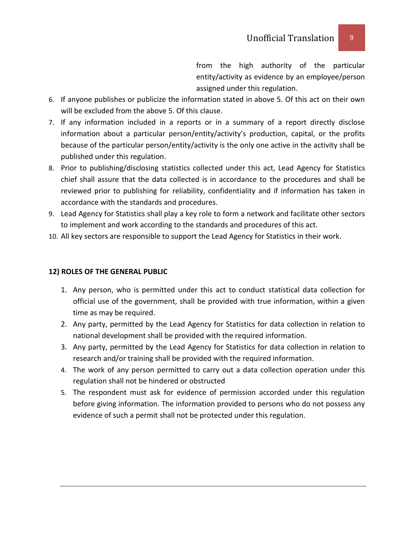from the high authority of the particular entity/activity as evidence by an employee/person assigned under this regulation.

- 6. If anyone publishes or publicize the information stated in above 5. Of this act on their own will be excluded from the above 5. Of this clause.
- 7. If any information included in a reports or in a summary of a report directly disclose information about a particular person/entity/activity's production, capital, or the profits because of the particular person/entity/activity is the only one active in the activity shall be published under this regulation.
- 8. Prior to publishing/disclosing statistics collected under this act, Lead Agency for Statistics chief shall assure that the data collected is in accordance to the procedures and shall be reviewed prior to publishing for reliability, confidentiality and if information has taken in accordance with the standards and procedures.
- 9. Lead Agency for Statistics shall play a key role to form a network and facilitate other sectors to implement and work according to the standards and procedures of this act.
- 10. All key sectors are responsible to support the Lead Agency for Statistics in their work.

## **12) ROLES OF THE GENERAL PUBLIC**

- 1. Any person, who is permitted under this act to conduct statistical data collection for official use of the government, shall be provided with true information, within a given time as may be required.
- 2. Any party, permitted by the Lead Agency for Statistics for data collection in relation to national development shall be provided with the required information.
- 3. Any party, permitted by the Lead Agency for Statistics for data collection in relation to research and/or training shall be provided with the required information.
- 4. The work of any person permitted to carry out a data collection operation under this regulation shall not be hindered or obstructed
- 5. The respondent must ask for evidence of permission accorded under this regulation before giving information. The information provided to persons who do not possess any evidence of such a permit shall not be protected under this regulation.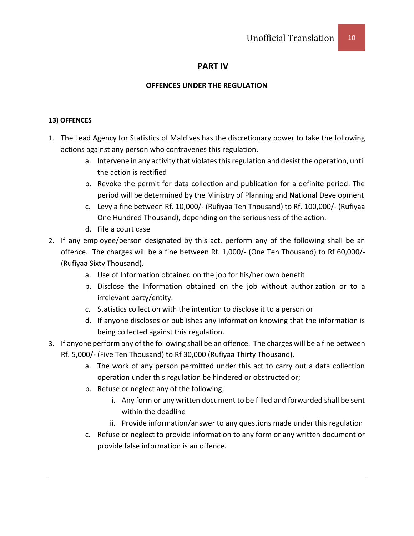# **PART IV**

## **OFFENCES UNDER THE REGULATION**

## **13) OFFENCES**

- 1. The Lead Agency for Statistics of Maldives has the discretionary power to take the following actions against any person who contravenes this regulation.
	- a. Intervene in any activity that violates this regulation and desist the operation, until the action is rectified
	- b. Revoke the permit for data collection and publication for a definite period. The period will be determined by the Ministry of Planning and National Development
	- c. Levy a fine between Rf. 10,000/- (Rufiyaa Ten Thousand) to Rf. 100,000/- (Rufiyaa One Hundred Thousand), depending on the seriousness of the action.
	- d. File a court case
- 2. If any employee/person designated by this act, perform any of the following shall be an offence. The charges will be a fine between Rf. 1,000/- (One Ten Thousand) to Rf 60,000/- (Rufiyaa Sixty Thousand).
	- a. Use of Information obtained on the job for his/her own benefit
	- b. Disclose the Information obtained on the job without authorization or to a irrelevant party/entity.
	- c. Statistics collection with the intention to disclose it to a person or
	- d. If anyone discloses or publishes any information knowing that the information is being collected against this regulation.
- 3. If anyone perform any of the following shall be an offence. The charges will be a fine between Rf. 5,000/- (Five Ten Thousand) to Rf 30,000 (Rufiyaa Thirty Thousand).
	- a. The work of any person permitted under this act to carry out a data collection operation under this regulation be hindered or obstructed or;
	- b. Refuse or neglect any of the following;
		- i. Any form or any written document to be filled and forwarded shall be sent within the deadline
		- ii. Provide information/answer to any questions made under this regulation
	- c. Refuse or neglect to provide information to any form or any written document or provide false information is an offence.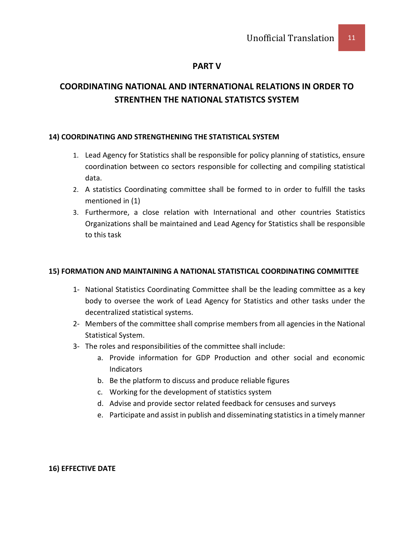## **PART V**

# **COORDINATING NATIONAL AND INTERNATIONAL RELATIONS IN ORDER TO STRENTHEN THE NATIONAL STATISTCS SYSTEM**

## **14) COORDINATING AND STRENGTHENING THE STATISTICAL SYSTEM**

- 1. Lead Agency for Statistics shall be responsible for policy planning of statistics, ensure coordination between co sectors responsible for collecting and compiling statistical data.
- 2. A statistics Coordinating committee shall be formed to in order to fulfill the tasks mentioned in (1)
- 3. Furthermore, a close relation with International and other countries Statistics Organizations shall be maintained and Lead Agency for Statistics shall be responsible to this task

## **15) FORMATION AND MAINTAINING A NATIONAL STATISTICAL COORDINATING COMMITTEE**

- 1- National Statistics Coordinating Committee shall be the leading committee as a key body to oversee the work of Lead Agency for Statistics and other tasks under the decentralized statistical systems.
- 2- Members of the committee shall comprise members from all agencies in the National Statistical System.
- 3- The roles and responsibilities of the committee shall include:
	- a. Provide information for GDP Production and other social and economic Indicators
	- b. Be the platform to discuss and produce reliable figures
	- c. Working for the development of statistics system
	- d. Advise and provide sector related feedback for censuses and surveys
	- e. Participate and assist in publish and disseminating statistics in a timely manner

## **16) EFFECTIVE DATE**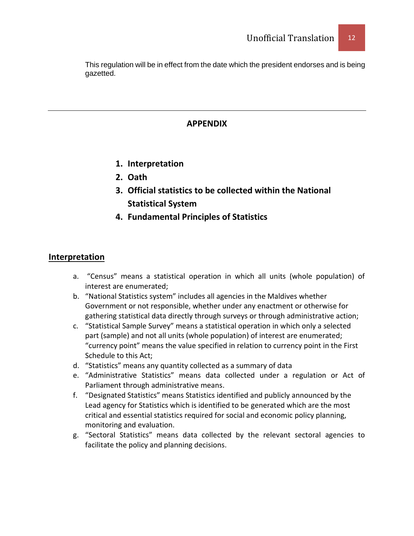This regulation will be in effect from the date which the president endorses and is being gazetted.

# **APPENDIX**

- **1. Interpretation**
- **2. Oath**
- **3. Official statistics to be collected within the National Statistical System**
- **4. Fundamental Principles of Statistics**

# **Interpretation**

- a. "Census" means a statistical operation in which all units (whole population) of interest are enumerated;
- b. "National Statistics system" includes all agencies in the Maldives whether Government or not responsible, whether under any enactment or otherwise for gathering statistical data directly through surveys or through administrative action;
- c. "Statistical Sample Survey" means a statistical operation in which only a selected part (sample) and not all units (whole population) of interest are enumerated; "currency point" means the value specified in relation to currency point in the First Schedule to this Act;
- d. "Statistics" means any quantity collected as a summary of data
- e. "Administrative Statistics" means data collected under a regulation or Act of Parliament through administrative means.
- f. "Designated Statistics" means Statistics identified and publicly announced by the Lead agency for Statistics which is identified to be generated which are the most critical and essential statistics required for social and economic policy planning, monitoring and evaluation.
- g. "Sectoral Statistics" means data collected by the relevant sectoral agencies to facilitate the policy and planning decisions.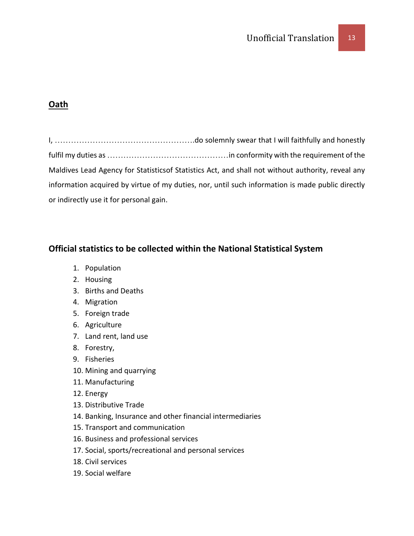# **Oath**

I, …………………………………………….do solemnly swear that I will faithfully and honestly fulfil my duties as ………………………………………in conformity with the requirement of the Maldives Lead Agency for Statisticsof Statistics Act, and shall not without authority, reveal any information acquired by virtue of my duties, nor, until such information is made public directly or indirectly use it for personal gain.

# **Official statistics to be collected within the National Statistical System**

- 1. Population
- 2. Housing
- 3. Births and Deaths
- 4. Migration
- 5. Foreign trade
- 6. Agriculture
- 7. Land rent, land use
- 8. Forestry,
- 9. Fisheries
- 10. Mining and quarrying
- 11. Manufacturing
- 12. Energy
- 13. Distributive Trade
- 14. Banking, Insurance and other financial intermediaries
- 15. Transport and communication
- 16. Business and professional services
- 17. Social, sports/recreational and personal services
- 18. Civil services
- 19. Social welfare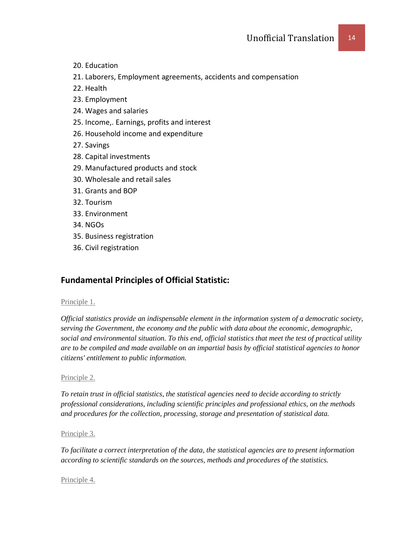- 20. Education
- 21. Laborers, Employment agreements, accidents and compensation
- 22. Health
- 23. Employment
- 24. Wages and salaries
- 25. Income,. Earnings, profits and interest
- 26. Household income and expenditure
- 27. Savings
- 28. Capital investments
- 29. Manufactured products and stock
- 30. Wholesale and retail sales
- 31. Grants and BOP
- 32. Tourism
- 33. Environment
- 34. NGOs
- 35. Business registration
- 36. Civil registration

# **Fundamental Principles of Official Statistic:**

### [Principle 1.](http://unstats.un.org/unsd/goodprac/bpaboutpr.asp?RecId=1)

*Official statistics provide an indispensable element in the information system of a democratic society, serving the Government, the economy and the public with data about the economic, demographic, social and environmental situation. To this end, official statistics that meet the test of practical utility are to be compiled and made available on an impartial basis by official statistical agencies to honor citizens' entitlement to public information.*

## [Principle 2.](http://unstats.un.org/unsd/goodprac/bpaboutpr.asp?RecId=2)

*To retain trust in official statistics, the statistical agencies need to decide according to strictly professional considerations, including scientific principles and professional ethics, on the methods and procedures for the collection, processing, storage and presentation of statistical data.*

## [Principle 3.](http://unstats.un.org/unsd/goodprac/bpaboutpr.asp?RecId=3)

*To facilitate a correct interpretation of the data, the statistical agencies are to present information according to scientific standards on the sources, methods and procedures of the statistics.*

### [Principle 4.](http://unstats.un.org/unsd/goodprac/bpaboutpr.asp?RecId=4)